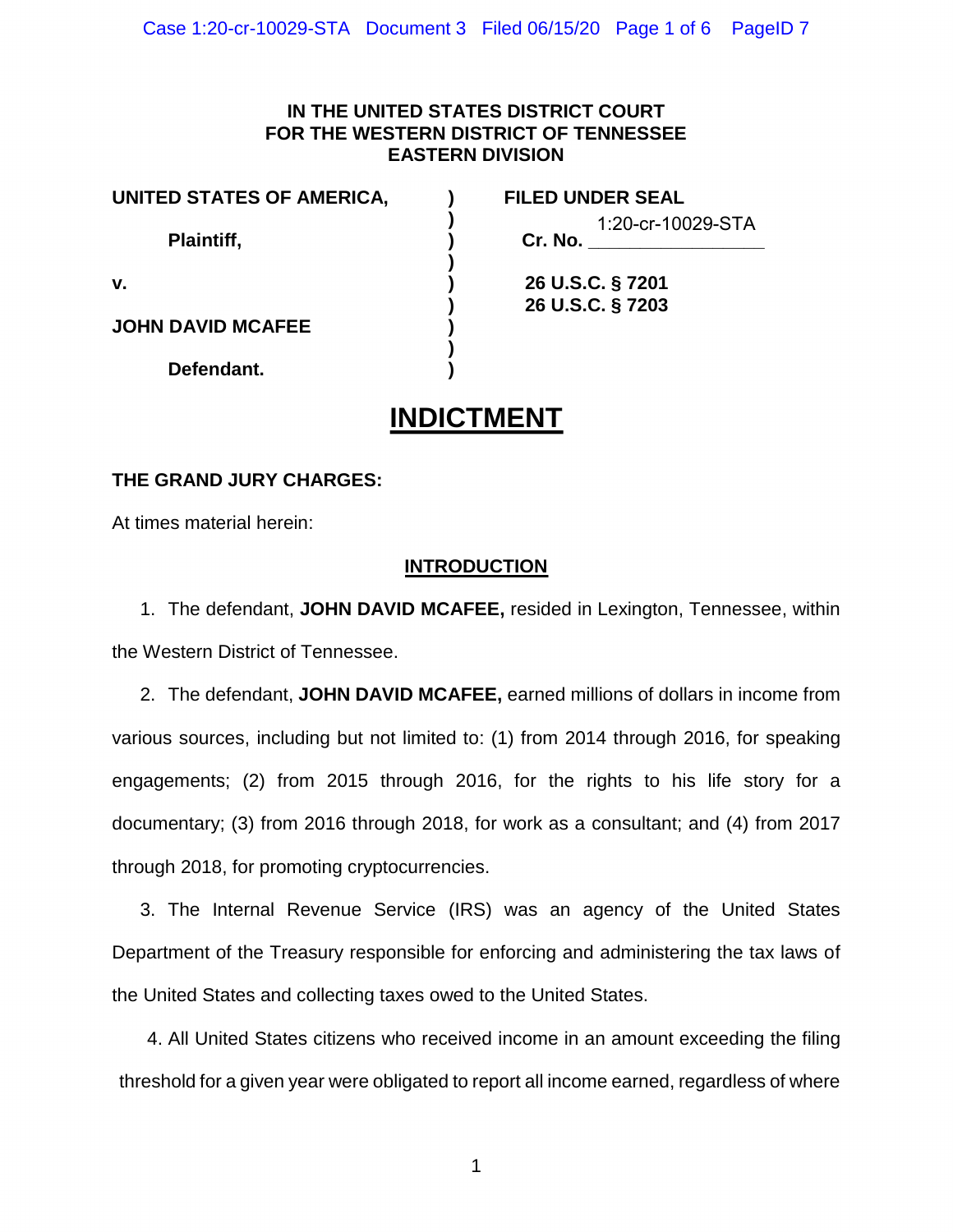## **IN THE UNITED STATES DISTRICT COURT FOR THE WESTERN DISTRICT OF TENNESSEE EASTERN DIVISION**

**)** 

**)** 

**UNITED STATES OF AMERICA, ) FILED UNDER SEAL** 

**Plaintiff.** 

**JOHN DAVID MCAFEE )** 

**Defendant. )** 

**)** 1:20-cr-10029-STA

**v. ) 26 U.S.C. § 7201 ) 26 U.S.C. § 7203** 

## **INDICTMENT**

## **THE GRAND JURY CHARGES:**

At times material herein:

## **INTRODUCTION**

1. The defendant, **JOHN DAVID MCAFEE,** resided in Lexington, Tennessee, within the Western District of Tennessee.

 2. The defendant, **JOHN DAVID MCAFEE,** earned millions of dollars in income from various sources, including but not limited to: (1) from 2014 through 2016, for speaking engagements; (2) from 2015 through 2016, for the rights to his life story for a documentary; (3) from 2016 through 2018, for work as a consultant; and (4) from 2017 through 2018, for promoting cryptocurrencies.

 3. The Internal Revenue Service (IRS) was an agency of the United States Department of the Treasury responsible for enforcing and administering the tax laws of the United States and collecting taxes owed to the United States.

 4. All United States citizens who received income in an amount exceeding the filing threshold for a given year were obligated to report all income earned, regardless of where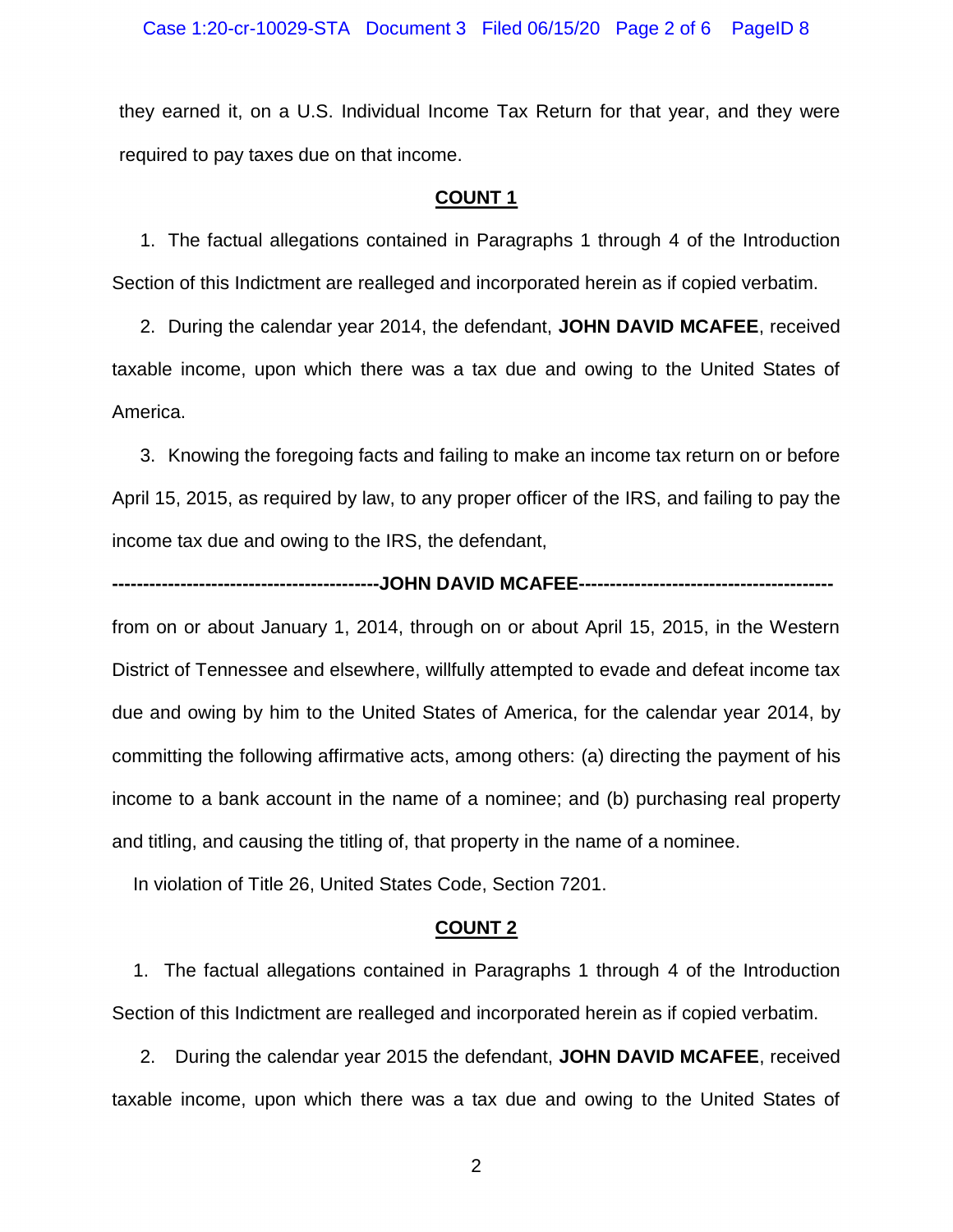they earned it, on a U.S. Individual Income Tax Return for that year, and they were required to pay taxes due on that income.

#### **COUNT 1**

 1. The factual allegations contained in Paragraphs 1 through 4 of the Introduction Section of this Indictment are realleged and incorporated herein as if copied verbatim.

 2. During the calendar year 2014, the defendant, **JOHN DAVID MCAFEE**, received taxable income, upon which there was a tax due and owing to the United States of America.

 3. Knowing the foregoing facts and failing to make an income tax return on or before April 15, 2015, as required by law, to any proper officer of the IRS, and failing to pay the income tax due and owing to the IRS, the defendant,

#### **-------------------------------------------JOHN DAVID MCAFEE-----------------------------------------**

 from on or about January 1, 2014, through on or about April 15, 2015, in the Western District of Tennessee and elsewhere, willfully attempted to evade and defeat income tax due and owing by him to the United States of America, for the calendar year 2014, by committing the following affirmative acts, among others: (a) directing the payment of his income to a bank account in the name of a nominee; and (b) purchasing real property and titling, and causing the titling of, that property in the name of a nominee.

In violation of Title 26, United States Code, Section 7201.

#### **COUNT 2**

 1. The factual allegations contained in Paragraphs 1 through 4 of the Introduction Section of this Indictment are realleged and incorporated herein as if copied verbatim.

 2. During the calendar year 2015 the defendant, **JOHN DAVID MCAFEE**, received taxable income, upon which there was a tax due and owing to the United States of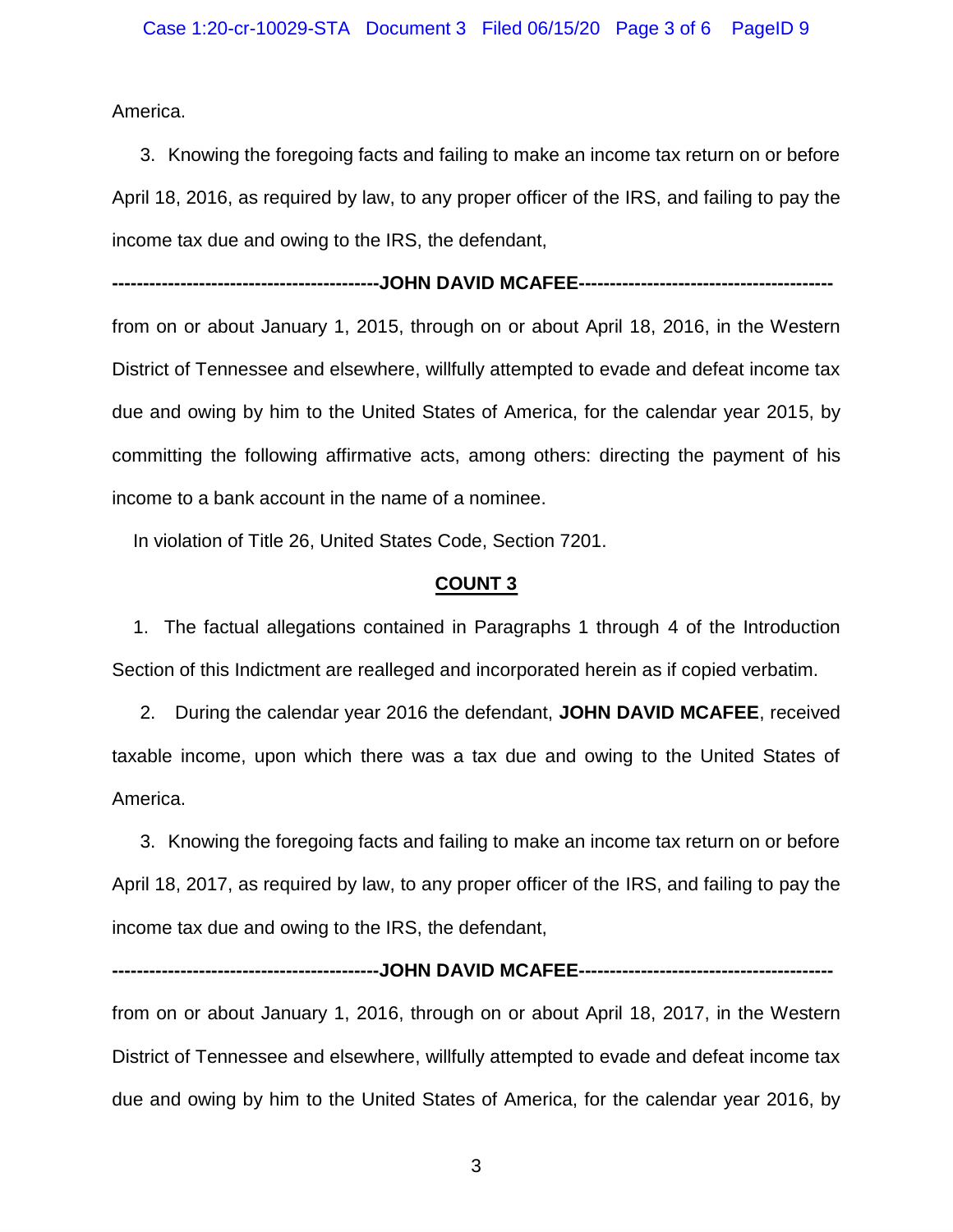America.

 3. Knowing the foregoing facts and failing to make an income tax return on or before April 18, 2016, as required by law, to any proper officer of the IRS, and failing to pay the income tax due and owing to the IRS, the defendant,

**-------------------------------------------JOHN DAVID MCAFEE-----------------------------------------**

 from on or about January 1, 2015, through on or about April 18, 2016, in the Western District of Tennessee and elsewhere, willfully attempted to evade and defeat income tax due and owing by him to the United States of America, for the calendar year 2015, by committing the following affirmative acts, among others: directing the payment of his income to a bank account in the name of a nominee.

In violation of Title 26, United States Code, Section 7201.

#### **COUNT 3**

 1. The factual allegations contained in Paragraphs 1 through 4 of the Introduction Section of this Indictment are realleged and incorporated herein as if copied verbatim.

 2. During the calendar year 2016 the defendant, **JOHN DAVID MCAFEE**, received taxable income, upon which there was a tax due and owing to the United States of America.

 3. Knowing the foregoing facts and failing to make an income tax return on or before April 18, 2017, as required by law, to any proper officer of the IRS, and failing to pay the income tax due and owing to the IRS, the defendant,

 from on or about January 1, 2016, through on or about April 18, 2017, in the Western District of Tennessee and elsewhere, willfully attempted to evade and defeat income tax due and owing by him to the United States of America, for the calendar year 2016, by

**-------------------------------------------JOHN DAVID MCAFEE-----------------------------------------**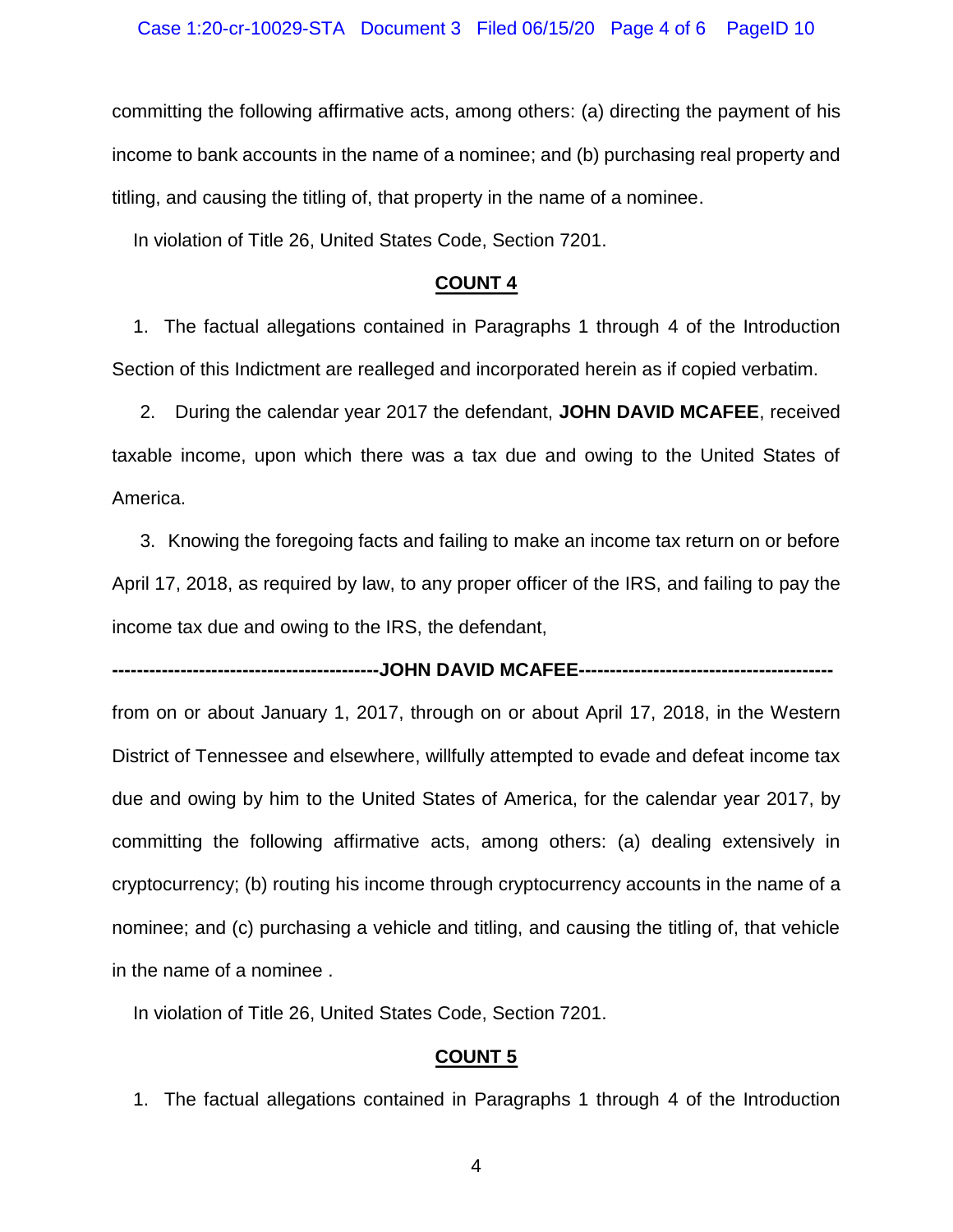committing the following affirmative acts, among others: (a) directing the payment of his income to bank accounts in the name of a nominee; and (b) purchasing real property and titling, and causing the titling of, that property in the name of a nominee.

In violation of Title 26, United States Code, Section 7201.

#### **COUNT 4**

 1. The factual allegations contained in Paragraphs 1 through 4 of the Introduction Section of this Indictment are realleged and incorporated herein as if copied verbatim.

 2. During the calendar year 2017 the defendant, **JOHN DAVID MCAFEE**, received taxable income, upon which there was a tax due and owing to the United States of America.

 3. Knowing the foregoing facts and failing to make an income tax return on or before April 17, 2018, as required by law, to any proper officer of the IRS, and failing to pay the income tax due and owing to the IRS, the defendant,

**-------------------------------------------JOHN DAVID MCAFEE-----------------------------------------**

 from on or about January 1, 2017, through on or about April 17, 2018, in the Western District of Tennessee and elsewhere, willfully attempted to evade and defeat income tax due and owing by him to the United States of America, for the calendar year 2017, by committing the following affirmative acts, among others: (a) dealing extensively in nominee; and (c) purchasing a vehicle and titling, and causing the titling of, that vehicle cryptocurrency; (b) routing his income through cryptocurrency accounts in the name of a in the name of a nominee .

In violation of Title 26, United States Code, Section 7201.

#### **COUNT 5**

1. The factual allegations contained in Paragraphs 1 through 4 of the Introduction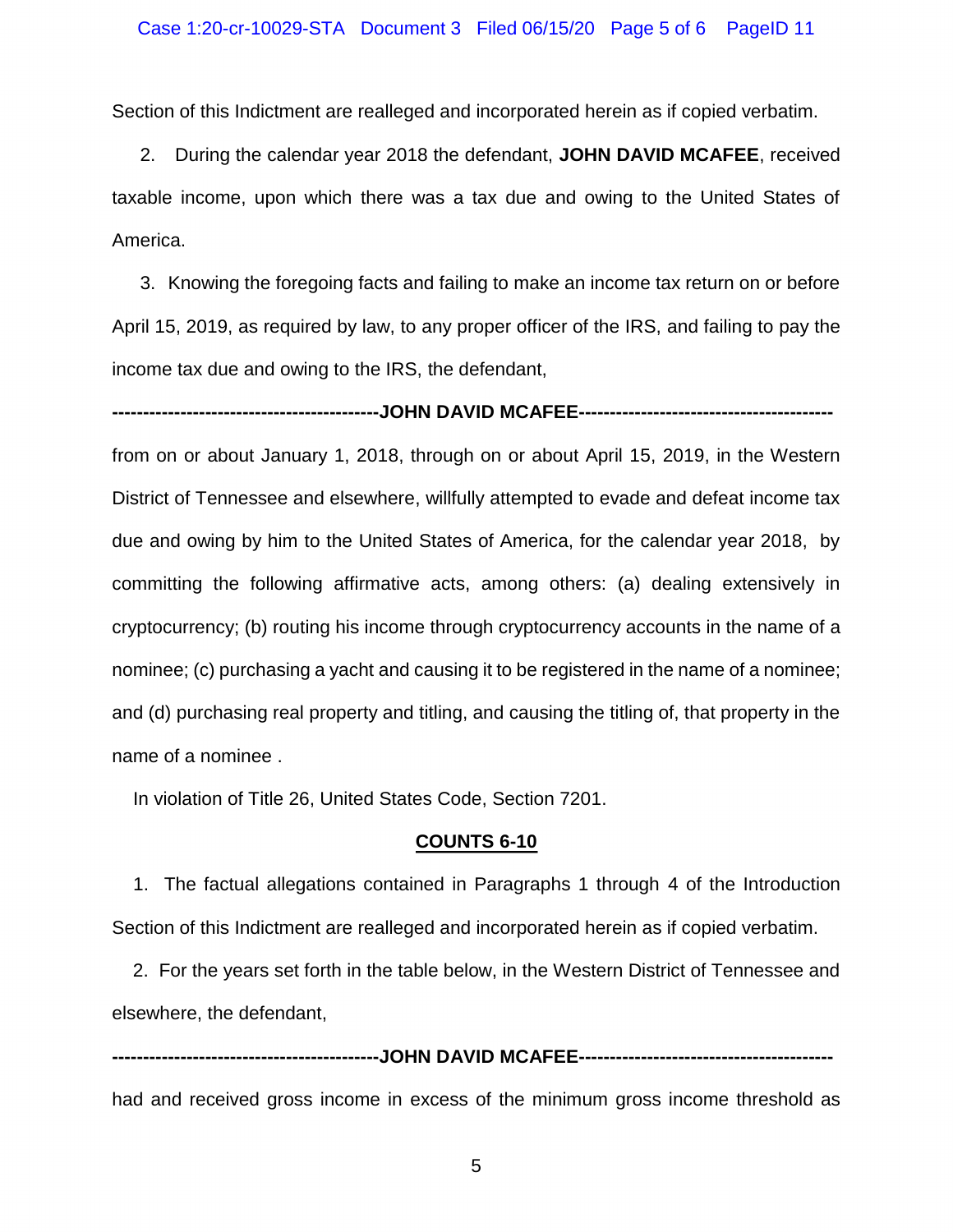Section of this Indictment are realleged and incorporated herein as if copied verbatim.

 2. During the calendar year 2018 the defendant, **JOHN DAVID MCAFEE**, received taxable income, upon which there was a tax due and owing to the United States of America.

 3. Knowing the foregoing facts and failing to make an income tax return on or before April 15, 2019, as required by law, to any proper officer of the IRS, and failing to pay the income tax due and owing to the IRS, the defendant,

**-------------------------------------------JOHN DAVID MCAFEE-----------------------------------------**

 from on or about January 1, 2018, through on or about April 15, 2019, in the Western District of Tennessee and elsewhere, willfully attempted to evade and defeat income tax due and owing by him to the United States of America, for the calendar year 2018, by committing the following affirmative acts, among others: (a) dealing extensively in nominee; (c) purchasing a yacht and causing it to be registered in the name of a nominee; cryptocurrency; (b) routing his income through cryptocurrency accounts in the name of a and (d) purchasing real property and titling, and causing the titling of, that property in the name of a nominee .

In violation of Title 26, United States Code, Section 7201.

#### **COUNTS 6-10**

 1. The factual allegations contained in Paragraphs 1 through 4 of the Introduction Section of this Indictment are realleged and incorporated herein as if copied verbatim.

2. For the years set forth in the table below, in the Western District of Tennessee and elsewhere, the defendant,

 had and received gross income in excess of the minimum gross income threshold as **-------------------------------------------JOHN DAVID MCAFEE-----------------------------------------**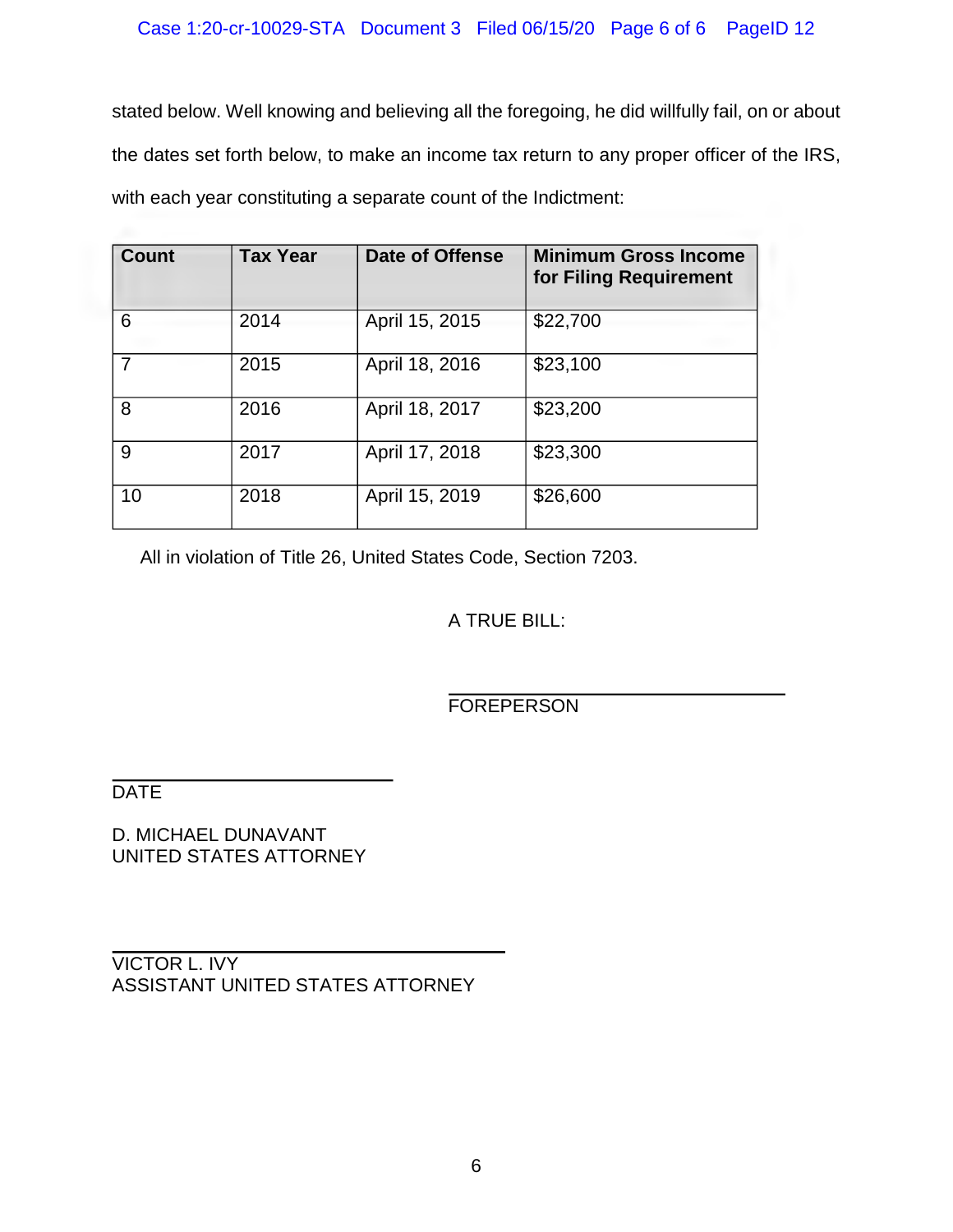stated below. Well knowing and believing all the foregoing, he did willfully fail, on or about the dates set forth below, to make an income tax return to any proper officer of the IRS, with each year constituting a separate count of the Indictment:

| Count | <b>Tax Year</b> | Date of Offense | <b>Minimum Gross Income</b><br>for Filing Requirement |
|-------|-----------------|-----------------|-------------------------------------------------------|
| 6     | 2014            | April 15, 2015  | \$22,700                                              |
|       | 2015            | April 18, 2016  | \$23,100                                              |
| 8     | 2016            | April 18, 2017  | \$23,200                                              |
| 9     | 2017            | April 17, 2018  | \$23,300                                              |
| 10    | 2018            | April 15, 2019  | \$26,600                                              |

All in violation of Title 26, United States Code, Section 7203.

J.

A TRUE BILL:

**FOREPERSON** 

**DATE** 

D. MICHAEL DUNAVANT UNITED STATES ATTORNEY

VICTOR L. IVY ASSISTANT UNITED STATES ATTORNEY